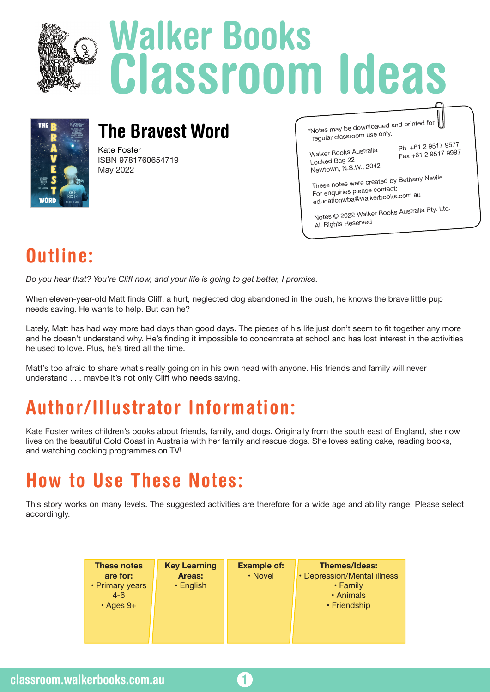

# **Walker Books Classroom Ideas**



### **The Bravest Word**

Kate Foster ISBN 9781760654719 May 2022

\*Notes may be downloaded and printed for regular classroom use only.

Walker Books Australia Ph +61 2 9517 9577<br>Locked Bag 22<br>Locked Bag 22 Newtown, N.S.W., 2042

Fax +61 2 9517 9997

These notes were created by Bethany Nevile. For enquiries please contact: educationwba@walkerbooks.com.au

Notes © 2022 Walker Books Australia Pty. Ltd. All Rights Reserve<sup>d</sup>

## **Outline:**

*Do you hear that? You're Cliff now, and your life is going to get better, I promise.*

When eleven-year-old Matt finds Cliff, a hurt, neglected dog abandoned in the bush, he knows the brave little pup needs saving. He wants to help. But can he?

Lately, Matt has had way more bad days than good days. The pieces of his life just don't seem to fit together any more and he doesn't understand why. He's finding it impossible to concentrate at school and has lost interest in the activities he used to love. Plus, he's tired all the time.

Matt's too afraid to share what's really going on in his own head with anyone. His friends and family will never understand . . . maybe it's not only Cliff who needs saving.

# **Author/Illustrator Information:**

Kate Foster writes children's books about friends, family, and dogs. Originally from the south east of England, she now lives on the beautiful Gold Coast in Australia with her family and rescue dogs. She loves eating cake, reading books, and watching cooking programmes on TV!

## **How to Use These Notes:**

This story works on many levels. The suggested activities are therefore for a wide age and ability range. Please select accordingly.

| <b>These notes</b><br>are for:<br>• Primary years<br>$4 - 6$<br>$\cdot$ Ages 9+ | <b>Key Learning</b><br>Areas:<br>$\cdot$ English | <b>Example of:</b><br>• Novel | <b>Themes/Ideas:</b><br>• Depression/Mental illness<br>• Family<br>• Animals<br>• Friendship |
|---------------------------------------------------------------------------------|--------------------------------------------------|-------------------------------|----------------------------------------------------------------------------------------------|
|                                                                                 |                                                  |                               |                                                                                              |

**1**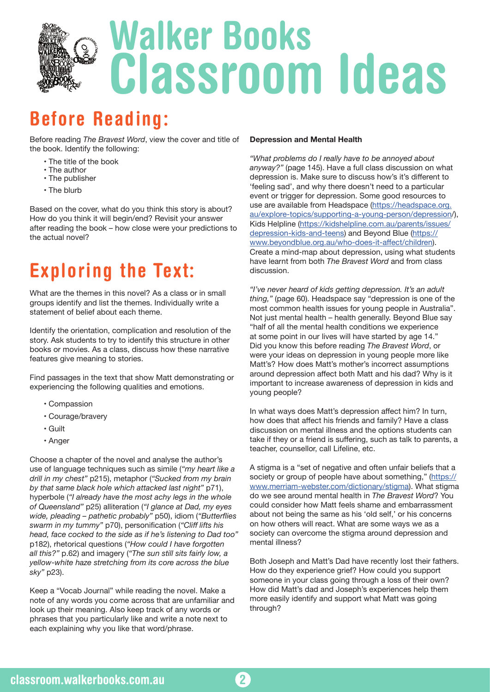

### **Before Reading:**

Before reading *The Bravest Word*, view the cover and title of the book. Identify the following:

- The title of the book
- The author
- The publisher
- The blurb

Based on the cover, what do you think this story is about? How do you think it will begin/end? Revisit your answer after reading the book – how close were your predictions to the actual novel?

# **Exploring the Text:**

What are the themes in this novel? As a class or in small groups identify and list the themes. Individually write a statement of belief about each theme.

Identify the orientation, complication and resolution of the story. Ask students to try to identify this structure in other books or movies. As a class, discuss how these narrative features give meaning to stories.

Find passages in the text that show Matt demonstrating or experiencing the following qualities and emotions.

- Compassion
- Courage/bravery
- Guilt
- Anger

Choose a chapter of the novel and analyse the author's use of language techniques such as simile (*"my heart like a drill in my chest"* p215), metaphor (*"Sucked from my brain by that same black hole which attacked last night"* p71), hyperbole (*"I already have the most achy legs in the whole of Queensland"* p25) alliteration (*"I glance at Dad, my eyes wide, pleading – pathetic probably"* p50), idiom (*"Butterflies swarm in my tummy"* p70), personification (*"Cliff lifts his head, face cocked to the side as if he's listening to Dad too"* p182), rhetorical questions (*"How could I have forgotten all this?"* p.62) and imagery (*"The sun still sits fairly low, a yellow-white haze stretching from its core across the blue sky"* p23).

Keep a "Vocab Journal" while reading the novel. Make a note of any words you come across that are unfamiliar and look up their meaning. Also keep track of any words or phrases that you particularly like and write a note next to each explaining why you like that word/phrase.

#### **Depression and Mental Health**

*"What problems do I really have to be annoyed about anyway?"* (page 145). Have a full class discussion on what depression is. Make sure to discuss how's it's different to 'feeling sad', and why there doesn't need to a particular event or trigger for depression. Some good resources to use are available from Headspace (https://headspace.org. au/explore-topics/supporting-a-young-person/depression/), Kids Helpline (https://kidshelpline.com.au/parents/issues/ depression-kids-and-teens) and Beyond Blue (https:// www.beyondblue.org.au/who-does-it-affect/children). Create a mind-map about depression, using what students have learnt from both *The Bravest Word* and from class discussion.

*"I've never heard of kids getting depression. It's an adult thing,"* (page 60). Headspace say "depression is one of the most common health issues for young people in Australia". Not just mental health – health generally. Beyond Blue say "half of all the mental health conditions we experience at some point in our lives will have started by age 14." Did you know this before reading *The Bravest Word*, or were your ideas on depression in young people more like Matt's? How does Matt's mother's incorrect assumptions around depression affect both Matt and his dad? Why is it important to increase awareness of depression in kids and young people?

In what ways does Matt's depression affect him? In turn, how does that affect his friends and family? Have a class discussion on mental illness and the options students can take if they or a friend is suffering, such as talk to parents, a teacher, counsellor, call Lifeline, etc.

A stigma is a "set of negative and often unfair beliefs that a society or group of people have about something," (https:// www.merriam-webster.com/dictionary/stigma). What stigma do we see around mental health in *The Bravest Word*? You could consider how Matt feels shame and embarrassment about not being the same as his 'old self,' or his concerns on how others will react. What are some ways we as a society can overcome the stigma around depression and mental illness?

Both Joseph and Matt's Dad have recently lost their fathers. How do they experience grief? How could you support someone in your class going through a loss of their own? How did Matt's dad and Joseph's experiences help them more easily identify and support what Matt was going through?

**2**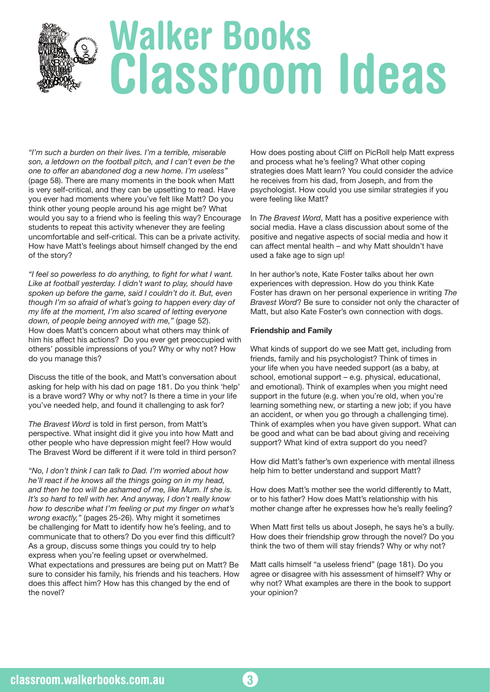# **Walker Books Classroom Ideas**

*"I'm such a burden on their lives. I'm a terrible, miserable son, a letdown on the football pitch, and I can't even be the one to offer an abandoned dog a new home. I'm useless"* (page 58). There are many moments in the book when Matt is very self-critical, and they can be upsetting to read. Have you ever had moments where you've felt like Matt? Do you think other young people around his age might be? What would you say to a friend who is feeling this way? Encourage students to repeat this activity whenever they are feeling uncomfortable and self-critical. This can be a private activity. How have Matt's feelings about himself changed by the end of the story?

*"I feel so powerless to do anything, to fight for what I want. Like at football yesterday. I didn't want to play, should have spoken up before the game, said I couldn't do it. But, even though I'm so afraid of what's going to happen every day of my life at the moment, I'm also scared of letting everyone down, of people being annoyed with me,"* (page 52). How does Matt's concern about what others may think of him his affect his actions? Do you ever get preoccupied with others' possible impressions of you? Why or why not? How do you manage this?

Discuss the title of the book, and Matt's conversation about asking for help with his dad on page 181. Do you think 'help' is a brave word? Why or why not? Is there a time in your life you've needed help, and found it challenging to ask for?

*The Bravest Word* is told in first person, from Matt's perspective. What insight did it give you into how Matt and other people who have depression might feel? How would The Bravest Word be different if it were told in third person?

*"No, I don't think I can talk to Dad. I'm worried about how he'll react if he knows all the things going on in my head, and then he too will be ashamed of me, like Mum. If she is. It's so hard to tell with her. And anyway, I don't really know how to describe what I'm feeling or put my finger on what's wrong exactly,"* (pages 25-26). Why might it sometimes be challenging for Matt to identify how he's feeling, and to communicate that to others? Do you ever find this difficult? As a group, discuss some things you could try to help express when you're feeling upset or overwhelmed. What expectations and pressures are being put on Matt? Be sure to consider his family, his friends and his teachers. How does this affect him? How has this changed by the end of the novel?

How does posting about Cliff on PicRoll help Matt express and process what he's feeling? What other coping strategies does Matt learn? You could consider the advice he receives from his dad, from Joseph, and from the psychologist. How could you use similar strategies if you were feeling like Matt?

In *The Bravest Word*, Matt has a positive experience with social media. Have a class discussion about some of the positive and negative aspects of social media and how it can affect mental health – and why Matt shouldn't have used a fake age to sign up!

In her author's note, Kate Foster talks about her own experiences with depression. How do you think Kate Foster has drawn on her personal experience in writing *The Bravest Word*? Be sure to consider not only the character of Matt, but also Kate Foster's own connection with dogs.

### **Friendship and Family**

**3**

What kinds of support do we see Matt get, including from friends, family and his psychologist? Think of times in your life when you have needed support (as a baby, at school, emotional support – e.g. physical, educational, and emotional). Think of examples when you might need support in the future (e.g. when you're old, when you're learning something new, or starting a new job; if you have an accident, or when you go through a challenging time). Think of examples when you have given support. What can be good and what can be bad about giving and receiving support? What kind of extra support do you need?

How did Matt's father's own experience with mental illness help him to better understand and support Matt?

How does Matt's mother see the world differently to Matt, or to his father? How does Matt's relationship with his mother change after he expresses how he's really feeling?

When Matt first tells us about Joseph, he says he's a bully. How does their friendship grow through the novel? Do you think the two of them will stay friends? Why or why not?

Matt calls himself "a useless friend" (page 181). Do you agree or disagree with his assessment of himself? Why or why not? What examples are there in the book to support your opinion?